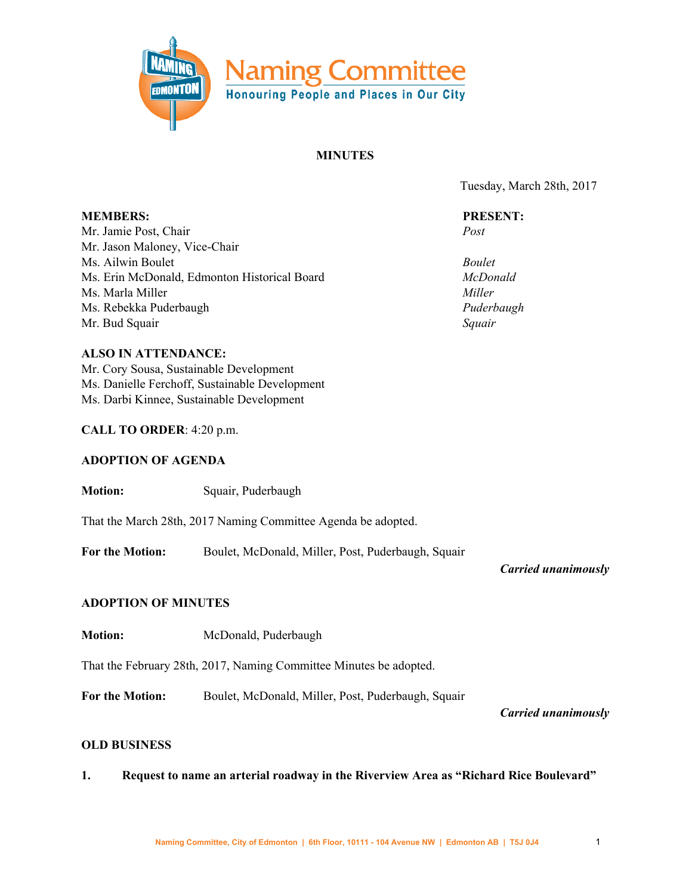

### **MINUTES**

Tuesday, March 28th, 2017

**MEMBERS:** Mr. Jamie Post, Chair Mr. Jason Maloney, Vice-Chair Ms. Ailwin Boulet Ms. Erin McDonald, Edmonton Historical Board Ms. Marla Miller Ms. Rebekka Puderbaugh Mr. Bud Squair **PRESENT:** *Post Boulet McDonald Miller Puderbaugh Squair* **ALSO IN ATTENDANCE:** Mr. Cory Sousa, Sustainable Development Ms. Danielle Ferchoff, Sustainable Development Ms. Darbi Kinnee, Sustainable Development **CALL TO ORDER**: 4:20 p.m. **ADOPTION OF AGENDA Motion:** Squair, Puderbaugh That the March 28th, 2017 Naming Committee Agenda be adopted. **For the Motion:** Boulet, McDonald, Miller, Post, Puderbaugh, Squair *Carried unanimously*

# **ADOPTION OF MINUTES**

**Motion:** McDonald, Puderbaugh

That the February 28th, 2017, Naming Committee Minutes be adopted.

**For the Motion:** Boulet, McDonald, Miller, Post, Puderbaugh, Squair

*Carried unanimously*

#### **OLD BUSINESS**

**1. Request to name an arterial roadway in the Riverview Area as "Richard Rice Boulevard"**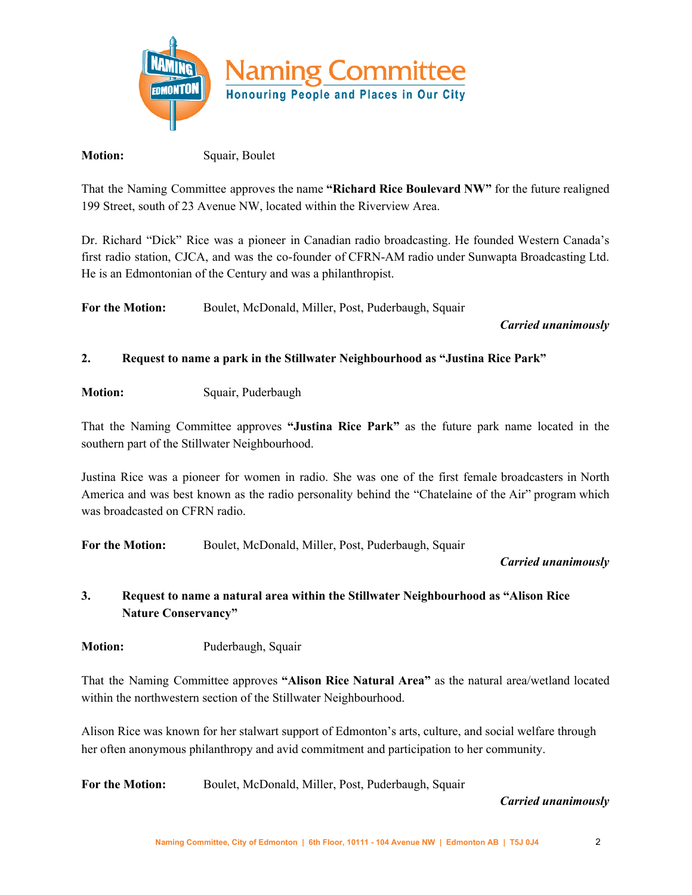

### **Motion:** Squair, Boulet

That the Naming Committee approves the name **"Richard Rice Boulevard NW"** for the future realigned 199 Street, south of 23 Avenue NW, located within the Riverview Area.

Dr. Richard "Dick" Rice was a pioneer in Canadian radio broadcasting. He founded Western Canada's first radio station, CJCA, and was the co-founder of CFRN-AM radio under Sunwapta Broadcasting Ltd. He is an Edmontonian of the Century and was a philanthropist.

**For the Motion:** Boulet, McDonald, Miller, Post, Puderbaugh, Squair

### *Carried unanimously*

# **2. Request to name a park in the Stillwater Neighbourhood as "Justina Rice Park"**

**Motion:** Squair, Puderbaugh

That the Naming Committee approves **"Justina Rice Park"** as the future park name located in the southern part of the Stillwater Neighbourhood.

Justina Rice was a pioneer for women in radio. She was one of the first female broadcasters in North America and was best known as the radio personality behind the "Chatelaine of the Air" program which was broadcasted on CFRN radio.

**For the Motion:** Boulet, McDonald, Miller, Post, Puderbaugh, Squair

# *Carried unanimously*

# **3. Request to name a natural area within the Stillwater Neighbourhood as "Alison Rice Nature Conservancy"**

**Motion:** Puderbaugh, Squair

That the Naming Committee approves **"Alison Rice Natural Area"** as the natural area/wetland located within the northwestern section of the Stillwater Neighbourhood.

Alison Rice was known for her stalwart support of Edmonton's arts, culture, and social welfare through her often anonymous philanthropy and avid commitment and participation to her community.

**For the Motion:** Boulet, McDonald, Miller, Post, Puderbaugh, Squair

#### *Carried unanimously*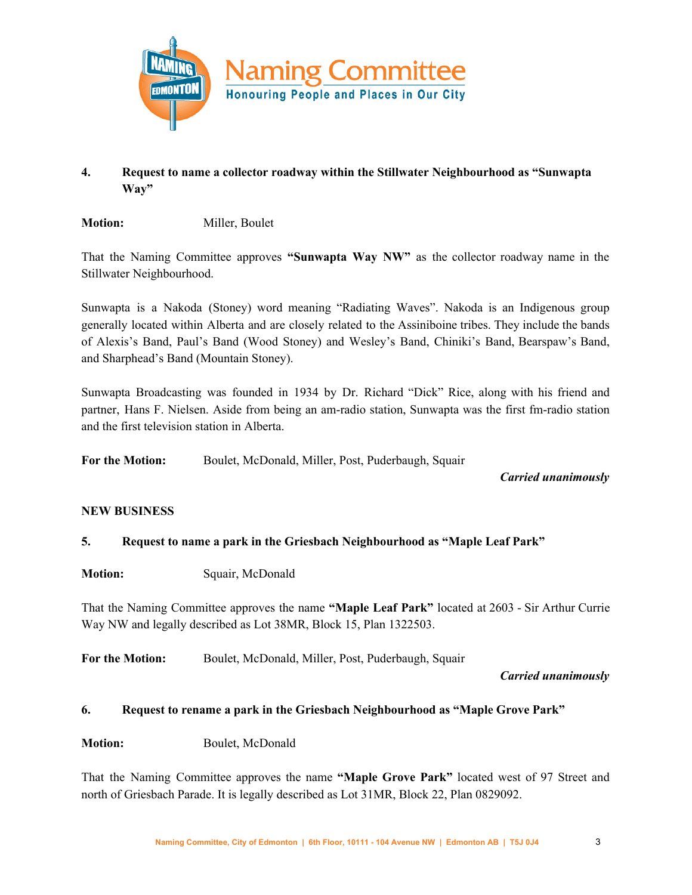

# **4. Request to name a collector roadway within the Stillwater Neighbourhood as "Sunwapta Way"**

**Motion:** Miller, Boulet

That the Naming Committee approves **"Sunwapta Way NW"** as the collector roadway name in the Stillwater Neighbourhood.

Sunwapta is a Nakoda (Stoney) word meaning "Radiating Waves". Nakoda is an Indigenous group generally located within Alberta and are closely related to the Assiniboine tribes. They include the bands of Alexis's Band, Paul's Band (Wood Stoney) and Wesley's Band, Chiniki's Band, Bearspaw's Band, and Sharphead's Band (Mountain Stoney).

Sunwapta Broadcasting was founded in 1934 by Dr. Richard "Dick" Rice, along with his friend and partner, Hans F. Nielsen. Aside from being an am-radio station, Sunwapta was the first fm-radio station and the first television station in Alberta.

**For the Motion:** Boulet, McDonald, Miller, Post, Puderbaugh, Squair

*Carried unanimously*

#### **NEW BUSINESS**

# **5. Request to name a park in the Griesbach Neighbourhood as "Maple Leaf Park"**

**Motion:** Squair, McDonald

That the Naming Committee approves the name **"Maple Leaf Park"** located at 2603 - Sir Arthur Currie Way NW and legally described as Lot 38MR, Block 15, Plan 1322503.

**For the Motion:** Boulet, McDonald, Miller, Post, Puderbaugh, Squair

*Carried unanimously*

#### **6. Request to rename a park in the Griesbach Neighbourhood as "Maple Grove Park"**

**Motion:** Boulet, McDonald

That the Naming Committee approves the name **"Maple Grove Park"** located west of 97 Street and north of Griesbach Parade. It is legally described as Lot 31MR, Block 22, Plan 0829092.